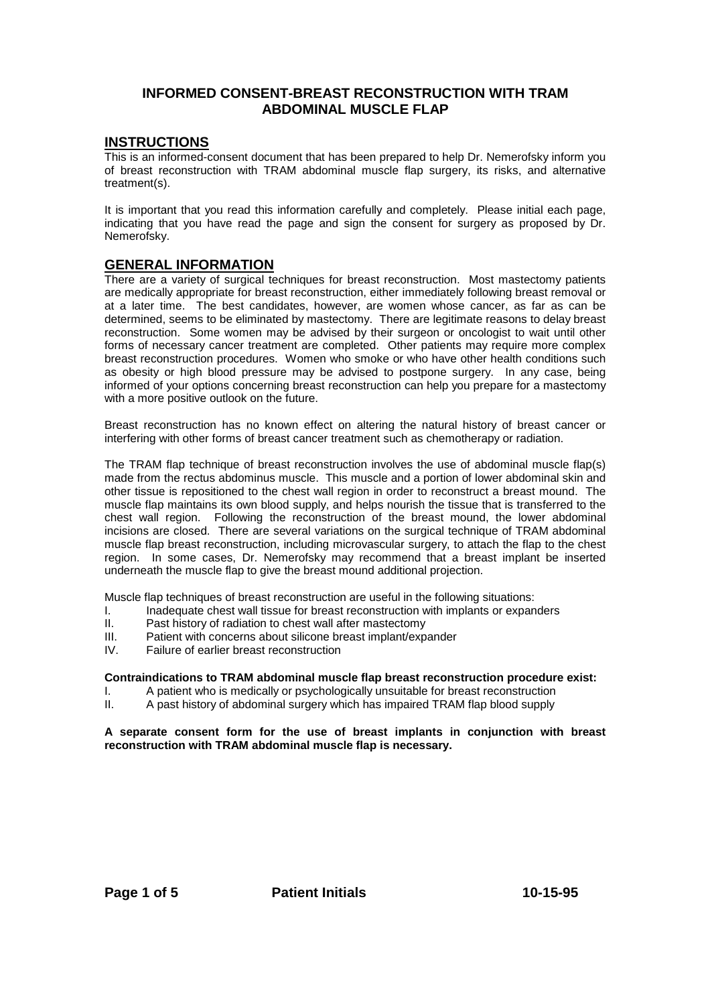# **INFORMED CONSENT-BREAST RECONSTRUCTION WITH TRAM ABDOMINAL MUSCLE FLAP**

#### **INSTRUCTIONS**

This is an informed-consent document that has been prepared to help Dr. Nemerofsky inform you of breast reconstruction with TRAM abdominal muscle flap surgery, its risks, and alternative treatment(s).

It is important that you read this information carefully and completely. Please initial each page, indicating that you have read the page and sign the consent for surgery as proposed by Dr. Nemerofsky.

## **GENERAL INFORMATION**

There are a variety of surgical techniques for breast reconstruction. Most mastectomy patients are medically appropriate for breast reconstruction, either immediately following breast removal or at a later time. The best candidates, however, are women whose cancer, as far as can be determined, seems to be eliminated by mastectomy. There are legitimate reasons to delay breast reconstruction. Some women may be advised by their surgeon or oncologist to wait until other forms of necessary cancer treatment are completed. Other patients may require more complex breast reconstruction procedures. Women who smoke or who have other health conditions such as obesity or high blood pressure may be advised to postpone surgery. In any case, being informed of your options concerning breast reconstruction can help you prepare for a mastectomy with a more positive outlook on the future.

Breast reconstruction has no known effect on altering the natural history of breast cancer or interfering with other forms of breast cancer treatment such as chemotherapy or radiation.

The TRAM flap technique of breast reconstruction involves the use of abdominal muscle flap(s) made from the rectus abdominus muscle. This muscle and a portion of lower abdominal skin and other tissue is repositioned to the chest wall region in order to reconstruct a breast mound. The muscle flap maintains its own blood supply, and helps nourish the tissue that is transferred to the chest wall region. Following the reconstruction of the breast mound, the lower abdominal incisions are closed. There are several variations on the surgical technique of TRAM abdominal muscle flap breast reconstruction, including microvascular surgery, to attach the flap to the chest region. In some cases, Dr. Nemerofsky may recommend that a breast implant be inserted underneath the muscle flap to give the breast mound additional projection.

Muscle flap techniques of breast reconstruction are useful in the following situations:<br>I. lacked the chest wall tissue for breast reconstruction with implants or expanding

- I. Inadequate chest wall tissue for breast reconstruction with implants or expanders<br>II. Past history of radiation to chest wall after mastectomy
- Past history of radiation to chest wall after mastectomy
- III. Patient with concerns about silicone breast implant/expander
- IV. Failure of earlier breast reconstruction

#### **Contraindications to TRAM abdominal muscle flap breast reconstruction procedure exist:**

- I. A patient who is medically or psychologically unsuitable for breast reconstruction
- II. A past history of abdominal surgery which has impaired TRAM flap blood supply

#### **A separate consent form for the use of breast implants in conjunction with breast reconstruction with TRAM abdominal muscle flap is necessary.**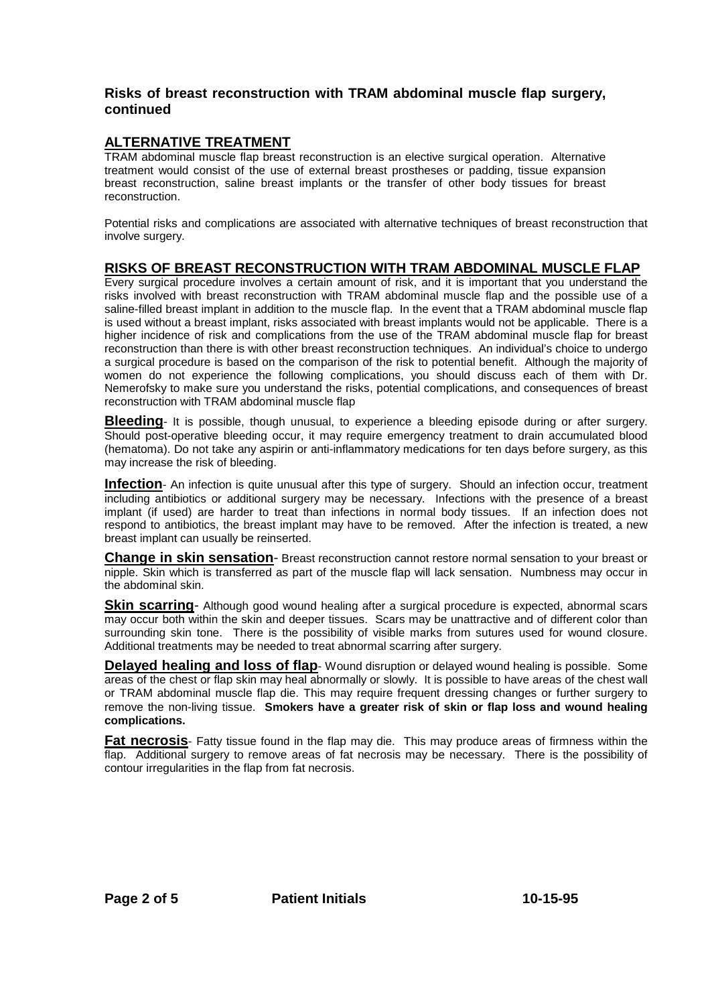# **Risks of breast reconstruction with TRAM abdominal muscle flap surgery, continued**

# **ALTERNATIVE TREATMENT**

TRAM abdominal muscle flap breast reconstruction is an elective surgical operation. Alternative treatment would consist of the use of external breast prostheses or padding, tissue expansion breast reconstruction, saline breast implants or the transfer of other body tissues for breast reconstruction.

Potential risks and complications are associated with alternative techniques of breast reconstruction that involve surgery.

## **RISKS OF BREAST RECONSTRUCTION WITH TRAM ABDOMINAL MUSCLE FLAP**

Every surgical procedure involves a certain amount of risk, and it is important that you understand the risks involved with breast reconstruction with TRAM abdominal muscle flap and the possible use of a saline-filled breast implant in addition to the muscle flap. In the event that a TRAM abdominal muscle flap is used without a breast implant, risks associated with breast implants would not be applicable. There is a higher incidence of risk and complications from the use of the TRAM abdominal muscle flap for breast reconstruction than there is with other breast reconstruction techniques. An individual's choice to undergo a surgical procedure is based on the comparison of the risk to potential benefit. Although the majority of women do not experience the following complications, you should discuss each of them with Dr. Nemerofsky to make sure you understand the risks, potential complications, and consequences of breast reconstruction with TRAM abdominal muscle flap

**Bleeding**- It is possible, though unusual, to experience a bleeding episode during or after surgery. Should post-operative bleeding occur, it may require emergency treatment to drain accumulated blood (hematoma). Do not take any aspirin or anti-inflammatory medications for ten days before surgery, as this may increase the risk of bleeding.

**Infection**- An infection is quite unusual after this type of surgery. Should an infection occur, treatment including antibiotics or additional surgery may be necessary. Infections with the presence of a breast implant (if used) are harder to treat than infections in normal body tissues. If an infection does not respond to antibiotics, the breast implant may have to be removed. After the infection is treated, a new breast implant can usually be reinserted.

**Change in skin sensation**- Breast reconstruction cannot restore normal sensation to your breast or nipple. Skin which is transferred as part of the muscle flap will lack sensation. Numbness may occur in the abdominal skin.

**Skin scarring-** Although good wound healing after a surgical procedure is expected, abnormal scars may occur both within the skin and deeper tissues. Scars may be unattractive and of different color than surrounding skin tone. There is the possibility of visible marks from sutures used for wound closure. Additional treatments may be needed to treat abnormal scarring after surgery.

**Delayed healing and loss of flap**- Wound disruption or delayed wound healing is possible. Some areas of the chest or flap skin may heal abnormally or slowly. It is possible to have areas of the chest wall or TRAM abdominal muscle flap die. This may require frequent dressing changes or further surgery to remove the non-living tissue. **Smokers have a greater risk of skin or flap loss and wound healing complications.**

**Fat necrosis**- Fatty tissue found in the flap may die. This may produce areas of firmness within the flap. Additional surgery to remove areas of fat necrosis may be necessary. There is the possibility of contour irregularities in the flap from fat necrosis.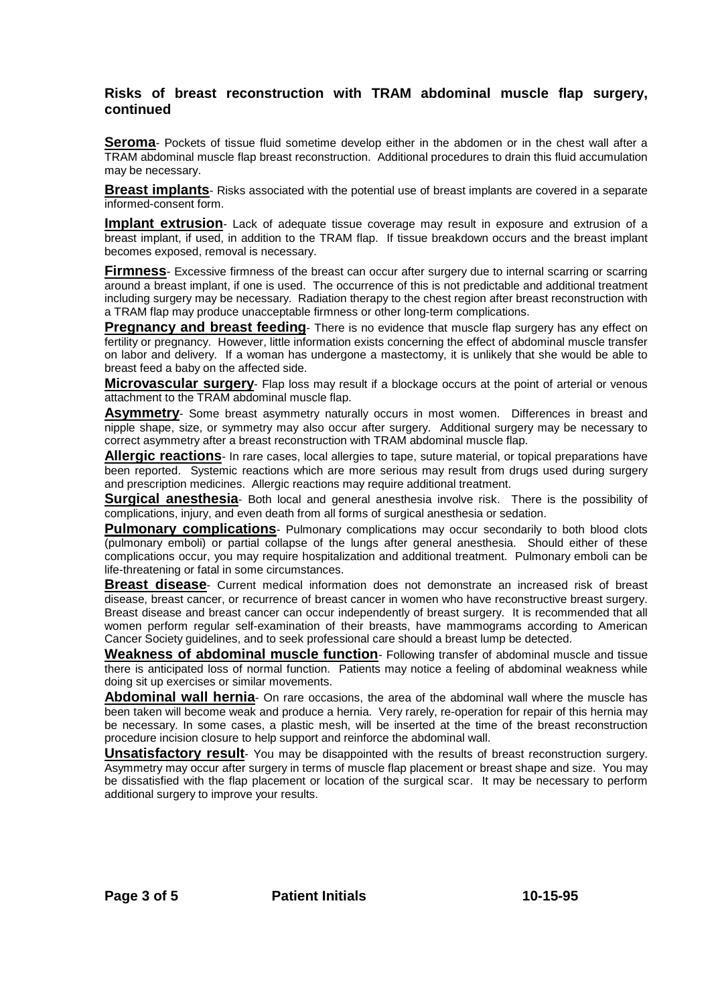## **Risks of breast reconstruction with TRAM abdominal muscle flap surgery, continued**

**Seroma**- Pockets of tissue fluid sometime develop either in the abdomen or in the chest wall after a TRAM abdominal muscle flap breast reconstruction. Additional procedures to drain this fluid accumulation may be necessary.

**Breast implants**- Risks associated with the potential use of breast implants are covered in a separate informed-consent form.

**Implant extrusion**- Lack of adequate tissue coverage may result in exposure and extrusion of a breast implant, if used, in addition to the TRAM flap. If tissue breakdown occurs and the breast implant becomes exposed, removal is necessary.

**Firmness**- Excessive firmness of the breast can occur after surgery due to internal scarring or scarring around a breast implant, if one is used. The occurrence of this is not predictable and additional treatment including surgery may be necessary. Radiation therapy to the chest region after breast reconstruction with a TRAM flap may produce unacceptable firmness or other long-term complications.

**Pregnancy and breast feeding**- There is no evidence that muscle flap surgery has any effect on fertility or pregnancy. However, little information exists concerning the effect of abdominal muscle transfer on labor and delivery. If a woman has undergone a mastectomy, it is unlikely that she would be able to breast feed a baby on the affected side.

**Microvascular surgery**- Flap loss may result if a blockage occurs at the point of arterial or venous attachment to the TRAM abdominal muscle flap.

**Asymmetry**- Some breast asymmetry naturally occurs in most women. Differences in breast and nipple shape, size, or symmetry may also occur after surgery. Additional surgery may be necessary to correct asymmetry after a breast reconstruction with TRAM abdominal muscle flap.

**Allergic reactions**- In rare cases, local allergies to tape, suture material, or topical preparations have been reported. Systemic reactions which are more serious may result from drugs used during surgery and prescription medicines. Allergic reactions may require additional treatment.

**Surgical anesthesia**- Both local and general anesthesia involve risk. There is the possibility of complications, injury, and even death from all forms of surgical anesthesia or sedation.

**Pulmonary complications**- Pulmonary complications may occur secondarily to both blood clots (pulmonary emboli) or partial collapse of the lungs after general anesthesia. Should either of these complications occur, you may require hospitalization and additional treatment. Pulmonary emboli can be life-threatening or fatal in some circumstances.

**Breast disease**- Current medical information does not demonstrate an increased risk of breast disease, breast cancer, or recurrence of breast cancer in women who have reconstructive breast surgery. Breast disease and breast cancer can occur independently of breast surgery. It is recommended that all women perform regular self-examination of their breasts, have mammograms according to American Cancer Society guidelines, and to seek professional care should a breast lump be detected.

**Weakness of abdominal muscle function**- Following transfer of abdominal muscle and tissue there is anticipated loss of normal function. Patients may notice a feeling of abdominal weakness while doing sit up exercises or similar movements.

**Abdominal wall hernia**- On rare occasions, the area of the abdominal wall where the muscle has been taken will become weak and produce a hernia. Very rarely, re-operation for repair of this hernia may be necessary. In some cases, a plastic mesh, will be inserted at the time of the breast reconstruction procedure incision closure to help support and reinforce the abdominal wall.

**Unsatisfactory result**- You may be disappointed with the results of breast reconstruction surgery. Asymmetry may occur after surgery in terms of muscle flap placement or breast shape and size. You may be dissatisfied with the flap placement or location of the surgical scar. It may be necessary to perform additional surgery to improve your results.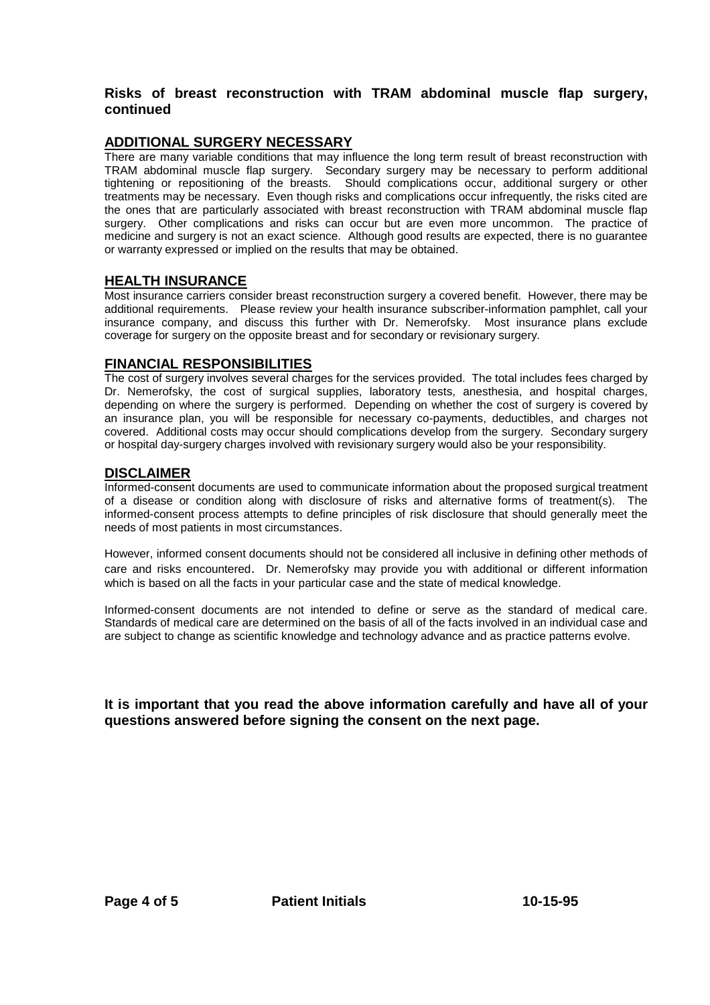# **Risks of breast reconstruction with TRAM abdominal muscle flap surgery, continued**

# **ADDITIONAL SURGERY NECESSARY**

There are many variable conditions that may influence the long term result of breast reconstruction with TRAM abdominal muscle flap surgery. Secondary surgery may be necessary to perform additional tightening or repositioning of the breasts. Should complications occur, additional surgery or other treatments may be necessary. Even though risks and complications occur infrequently, the risks cited are the ones that are particularly associated with breast reconstruction with TRAM abdominal muscle flap surgery. Other complications and risks can occur but are even more uncommon. The practice of medicine and surgery is not an exact science. Although good results are expected, there is no guarantee or warranty expressed or implied on the results that may be obtained.

# **HEALTH INSURANCE**

Most insurance carriers consider breast reconstruction surgery a covered benefit. However, there may be additional requirements. Please review your health insurance subscriber-information pamphlet, call your insurance company, and discuss this further with Dr. Nemerofsky. Most insurance plans exclude coverage for surgery on the opposite breast and for secondary or revisionary surgery.

## **FINANCIAL RESPONSIBILITIES**

The cost of surgery involves several charges for the services provided. The total includes fees charged by Dr. Nemerofsky, the cost of surgical supplies, laboratory tests, anesthesia, and hospital charges, depending on where the surgery is performed. Depending on whether the cost of surgery is covered by an insurance plan, you will be responsible for necessary co-payments, deductibles, and charges not covered. Additional costs may occur should complications develop from the surgery. Secondary surgery or hospital day-surgery charges involved with revisionary surgery would also be your responsibility.

#### **DISCLAIMER**

Informed-consent documents are used to communicate information about the proposed surgical treatment of a disease or condition along with disclosure of risks and alternative forms of treatment(s). The informed-consent process attempts to define principles of risk disclosure that should generally meet the needs of most patients in most circumstances.

However, informed consent documents should not be considered all inclusive in defining other methods of care and risks encountered. Dr. Nemerofsky may provide you with additional or different information which is based on all the facts in your particular case and the state of medical knowledge.

Informed-consent documents are not intended to define or serve as the standard of medical care. Standards of medical care are determined on the basis of all of the facts involved in an individual case and are subject to change as scientific knowledge and technology advance and as practice patterns evolve.

**It is important that you read the above information carefully and have all of your questions answered before signing the consent on the next page.**